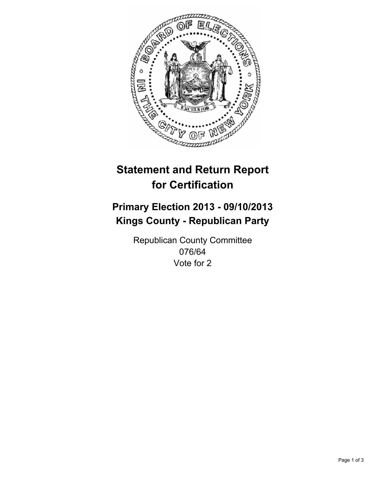

# **Statement and Return Report for Certification**

# **Primary Election 2013 - 09/10/2013 Kings County - Republican Party**

Republican County Committee 076/64 Vote for 2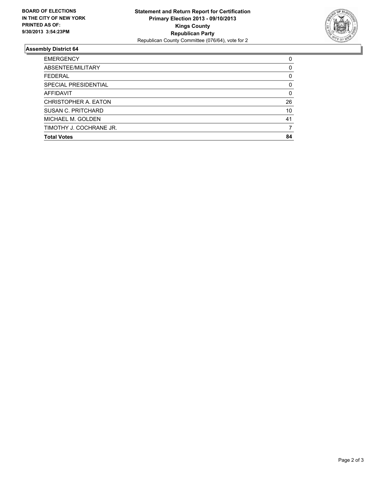

## **Assembly District 64**

| ABSENTEE/MILITARY<br><b>FEDERAL</b><br><b>SPECIAL PRESIDENTIAL</b><br><b>AFFIDAVIT</b><br>CHRISTOPHER A. EATON<br>SUSAN C. PRITCHARD<br>41<br>MICHAEL M. GOLDEN<br>TIMOTHY J. COCHRANE JR.<br><b>Total Votes</b> | <b>EMERGENCY</b> | 0        |
|------------------------------------------------------------------------------------------------------------------------------------------------------------------------------------------------------------------|------------------|----------|
|                                                                                                                                                                                                                  |                  | 0        |
|                                                                                                                                                                                                                  |                  | 0        |
|                                                                                                                                                                                                                  |                  | 0        |
|                                                                                                                                                                                                                  |                  | $\Omega$ |
|                                                                                                                                                                                                                  |                  | 26       |
|                                                                                                                                                                                                                  |                  | 10       |
|                                                                                                                                                                                                                  |                  |          |
|                                                                                                                                                                                                                  |                  |          |
|                                                                                                                                                                                                                  |                  | 84       |